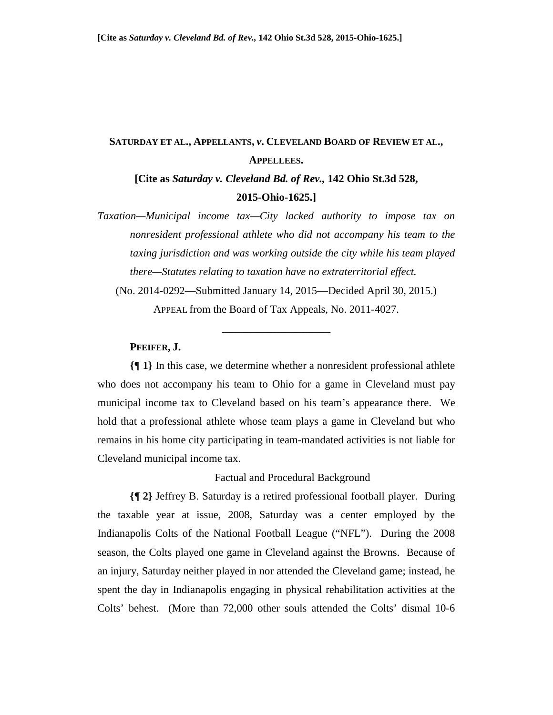# **SATURDAY ET AL., APPELLANTS,** *v***. CLEVELAND BOARD OF REVIEW ET AL., APPELLEES.**

**[Cite as** *Saturday v. Cleveland Bd. of Rev.,* **142 Ohio St.3d 528, 2015-Ohio-1625.]** 

*Taxation—Municipal income tax—City lacked authority to impose tax on nonresident professional athlete who did not accompany his team to the taxing jurisdiction and was working outside the city while his team played there—Statutes relating to taxation have no extraterritorial effect.* 

(No. 2014-0292—Submitted January 14, 2015—Decided April 30, 2015.)

APPEAL from the Board of Tax Appeals, No. 2011-4027. \_\_\_\_\_\_\_\_\_\_\_\_\_\_\_\_\_\_\_\_

# **PFEIFER, J.**

**{¶ 1}** In this case, we determine whether a nonresident professional athlete who does not accompany his team to Ohio for a game in Cleveland must pay municipal income tax to Cleveland based on his team's appearance there. We hold that a professional athlete whose team plays a game in Cleveland but who remains in his home city participating in team-mandated activities is not liable for Cleveland municipal income tax.

#### Factual and Procedural Background

**{¶ 2}** Jeffrey B. Saturday is a retired professional football player. During the taxable year at issue, 2008, Saturday was a center employed by the Indianapolis Colts of the National Football League ("NFL"). During the 2008 season, the Colts played one game in Cleveland against the Browns. Because of an injury, Saturday neither played in nor attended the Cleveland game; instead, he spent the day in Indianapolis engaging in physical rehabilitation activities at the Colts' behest. (More than 72,000 other souls attended the Colts' dismal 10-6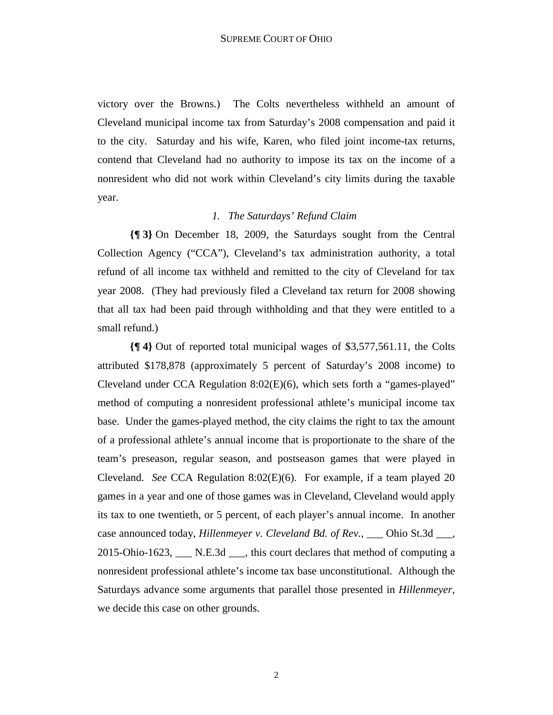victory over the Browns.) The Colts nevertheless withheld an amount of Cleveland municipal income tax from Saturday's 2008 compensation and paid it to the city. Saturday and his wife, Karen, who filed joint income-tax returns, contend that Cleveland had no authority to impose its tax on the income of a nonresident who did not work within Cleveland's city limits during the taxable year.

# *1. The Saturdays' Refund Claim*

**{¶ 3}** On December 18, 2009, the Saturdays sought from the Central Collection Agency ("CCA"), Cleveland's tax administration authority, a total refund of all income tax withheld and remitted to the city of Cleveland for tax year 2008. (They had previously filed a Cleveland tax return for 2008 showing that all tax had been paid through withholding and that they were entitled to a small refund.)

**{¶ 4}** Out of reported total municipal wages of \$3,577,561.11, the Colts attributed \$178,878 (approximately 5 percent of Saturday's 2008 income) to Cleveland under CCA Regulation 8:02(E)(6), which sets forth a "games-played" method of computing a nonresident professional athlete's municipal income tax base. Under the games-played method, the city claims the right to tax the amount of a professional athlete's annual income that is proportionate to the share of the team's preseason, regular season, and postseason games that were played in Cleveland. *See* CCA Regulation 8:02(E)(6). For example, if a team played 20 games in a year and one of those games was in Cleveland, Cleveland would apply its tax to one twentieth, or 5 percent, of each player's annual income. In another case announced today, *Hillenmeyer v. Cleveland Bd. of Rev.*, \_\_\_ Ohio St.3d \_\_\_, 2015-Ohio-1623, \_\_\_ N.E.3d \_\_\_, this court declares that method of computing a nonresident professional athlete's income tax base unconstitutional. Although the Saturdays advance some arguments that parallel those presented in *Hillenmeyer*, we decide this case on other grounds.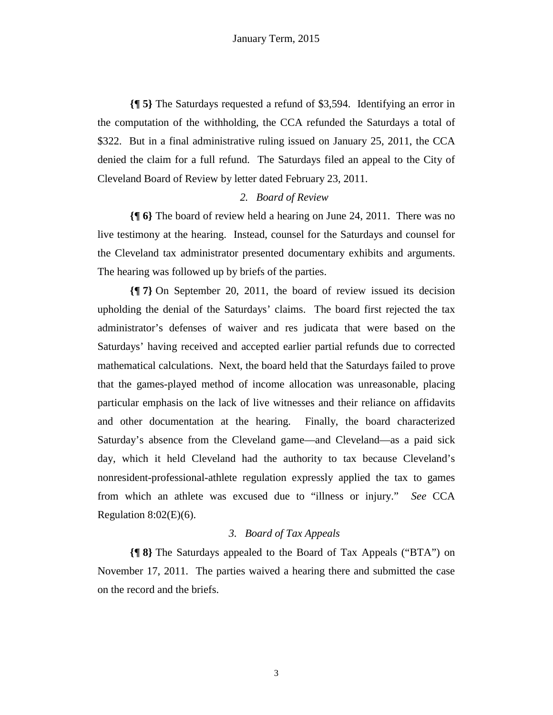**{¶ 5}** The Saturdays requested a refund of \$3,594. Identifying an error in the computation of the withholding, the CCA refunded the Saturdays a total of \$322. But in a final administrative ruling issued on January 25, 2011, the CCA denied the claim for a full refund. The Saturdays filed an appeal to the City of Cleveland Board of Review by letter dated February 23, 2011.

# *2. Board of Review*

**{¶ 6}** The board of review held a hearing on June 24, 2011. There was no live testimony at the hearing. Instead, counsel for the Saturdays and counsel for the Cleveland tax administrator presented documentary exhibits and arguments. The hearing was followed up by briefs of the parties.

**{¶ 7}** On September 20, 2011, the board of review issued its decision upholding the denial of the Saturdays' claims. The board first rejected the tax administrator's defenses of waiver and res judicata that were based on the Saturdays' having received and accepted earlier partial refunds due to corrected mathematical calculations. Next, the board held that the Saturdays failed to prove that the games-played method of income allocation was unreasonable, placing particular emphasis on the lack of live witnesses and their reliance on affidavits and other documentation at the hearing. Finally, the board characterized Saturday's absence from the Cleveland game—and Cleveland—as a paid sick day, which it held Cleveland had the authority to tax because Cleveland's nonresident-professional-athlete regulation expressly applied the tax to games from which an athlete was excused due to "illness or injury." *See* CCA Regulation  $8:02(E)(6)$ .

#### *3. Board of Tax Appeals*

**{¶ 8}** The Saturdays appealed to the Board of Tax Appeals ("BTA") on November 17, 2011. The parties waived a hearing there and submitted the case on the record and the briefs.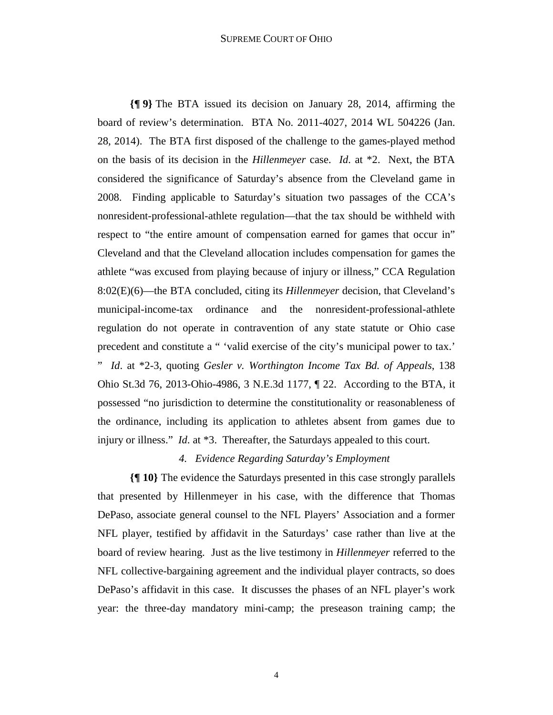#### SUPREME COURT OF OHIO

**{¶ 9}** The BTA issued its decision on January 28, 2014, affirming the board of review's determination. BTA No. 2011-4027, 2014 WL 504226 (Jan. 28, 2014). The BTA first disposed of the challenge to the games-played method on the basis of its decision in the *Hillenmeyer* case. *Id*. at \*2. Next, the BTA considered the significance of Saturday's absence from the Cleveland game in 2008. Finding applicable to Saturday's situation two passages of the CCA's nonresident-professional-athlete regulation—that the tax should be withheld with respect to "the entire amount of compensation earned for games that occur in" Cleveland and that the Cleveland allocation includes compensation for games the athlete "was excused from playing because of injury or illness," CCA Regulation 8:02(E)(6)—the BTA concluded, citing its *Hillenmeyer* decision, that Cleveland's municipal-income-tax ordinance and the nonresident-professional-athlete regulation do not operate in contravention of any state statute or Ohio case precedent and constitute a " 'valid exercise of the city's municipal power to tax.' " *Id*. at \*2-3, quoting *Gesler v. Worthington Income Tax Bd. of Appeals*, 138 Ohio St.3d 76, 2013-Ohio-4986, 3 N.E.3d 1177, ¶ 22. According to the BTA, it possessed "no jurisdiction to determine the constitutionality or reasonableness of the ordinance, including its application to athletes absent from games due to

# *4. Evidence Regarding Saturday's Employment*

injury or illness." *Id*. at \*3. Thereafter, the Saturdays appealed to this court.

**{¶ 10}** The evidence the Saturdays presented in this case strongly parallels that presented by Hillenmeyer in his case, with the difference that Thomas DePaso, associate general counsel to the NFL Players' Association and a former NFL player, testified by affidavit in the Saturdays' case rather than live at the board of review hearing. Just as the live testimony in *Hillenmeyer* referred to the NFL collective-bargaining agreement and the individual player contracts, so does DePaso's affidavit in this case. It discusses the phases of an NFL player's work year: the three-day mandatory mini-camp; the preseason training camp; the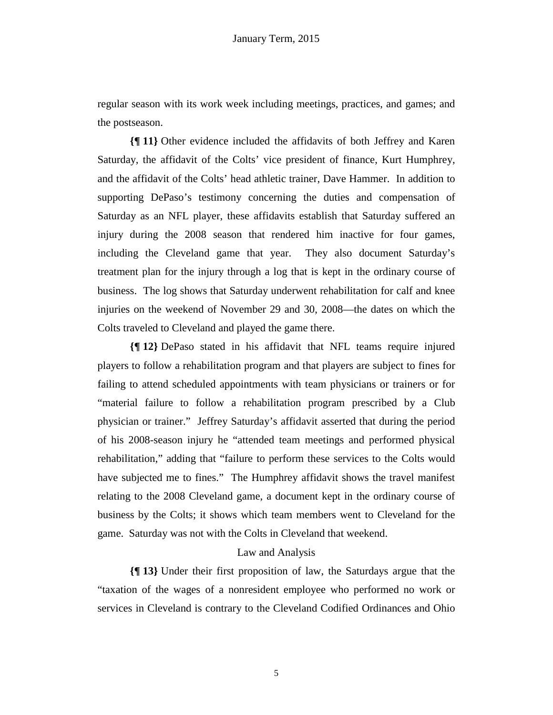regular season with its work week including meetings, practices, and games; and the postseason.

**{¶ 11}** Other evidence included the affidavits of both Jeffrey and Karen Saturday, the affidavit of the Colts' vice president of finance, Kurt Humphrey, and the affidavit of the Colts' head athletic trainer, Dave Hammer. In addition to supporting DePaso's testimony concerning the duties and compensation of Saturday as an NFL player, these affidavits establish that Saturday suffered an injury during the 2008 season that rendered him inactive for four games, including the Cleveland game that year. They also document Saturday's treatment plan for the injury through a log that is kept in the ordinary course of business. The log shows that Saturday underwent rehabilitation for calf and knee injuries on the weekend of November 29 and 30, 2008—the dates on which the Colts traveled to Cleveland and played the game there.

**{¶ 12}** DePaso stated in his affidavit that NFL teams require injured players to follow a rehabilitation program and that players are subject to fines for failing to attend scheduled appointments with team physicians or trainers or for "material failure to follow a rehabilitation program prescribed by a Club physician or trainer." Jeffrey Saturday's affidavit asserted that during the period of his 2008-season injury he "attended team meetings and performed physical rehabilitation," adding that "failure to perform these services to the Colts would have subjected me to fines." The Humphrey affidavit shows the travel manifest relating to the 2008 Cleveland game, a document kept in the ordinary course of business by the Colts; it shows which team members went to Cleveland for the game. Saturday was not with the Colts in Cleveland that weekend.

#### Law and Analysis

**{¶ 13}** Under their first proposition of law, the Saturdays argue that the "taxation of the wages of a nonresident employee who performed no work or services in Cleveland is contrary to the Cleveland Codified Ordinances and Ohio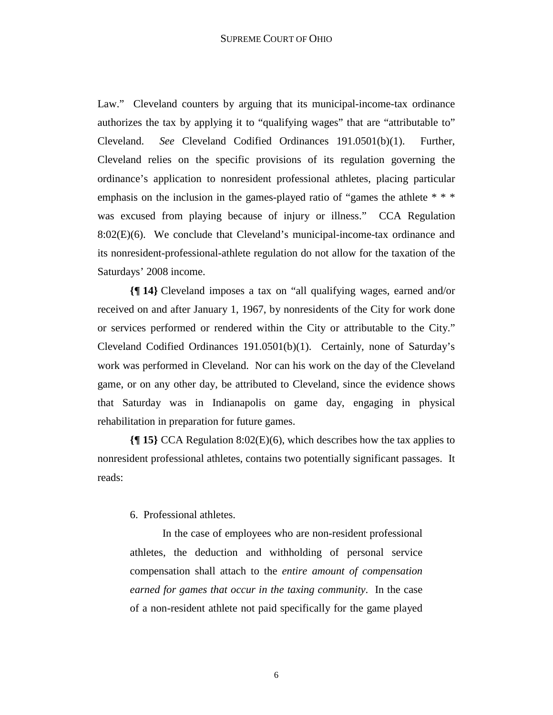Law." Cleveland counters by arguing that its municipal-income-tax ordinance authorizes the tax by applying it to "qualifying wages" that are "attributable to" Cleveland. *See* Cleveland Codified Ordinances 191.0501(b)(1). Further, Cleveland relies on the specific provisions of its regulation governing the ordinance's application to nonresident professional athletes, placing particular emphasis on the inclusion in the games-played ratio of "games the athlete \* \* \* was excused from playing because of injury or illness." CCA Regulation 8:02(E)(6). We conclude that Cleveland's municipal-income-tax ordinance and its nonresident-professional-athlete regulation do not allow for the taxation of the Saturdays' 2008 income.

**{¶ 14}** Cleveland imposes a tax on "all qualifying wages, earned and/or received on and after January 1, 1967, by nonresidents of the City for work done or services performed or rendered within the City or attributable to the City." Cleveland Codified Ordinances 191.0501(b)(1). Certainly, none of Saturday's work was performed in Cleveland. Nor can his work on the day of the Cleveland game, or on any other day, be attributed to Cleveland, since the evidence shows that Saturday was in Indianapolis on game day, engaging in physical rehabilitation in preparation for future games.

**{¶ 15}** CCA Regulation 8:02(E)(6), which describes how the tax applies to nonresident professional athletes, contains two potentially significant passages. It reads:

#### 6. Professional athletes.

In the case of employees who are non-resident professional athletes, the deduction and withholding of personal service compensation shall attach to the *entire amount of compensation earned for games that occur in the taxing community*. In the case of a non-resident athlete not paid specifically for the game played

6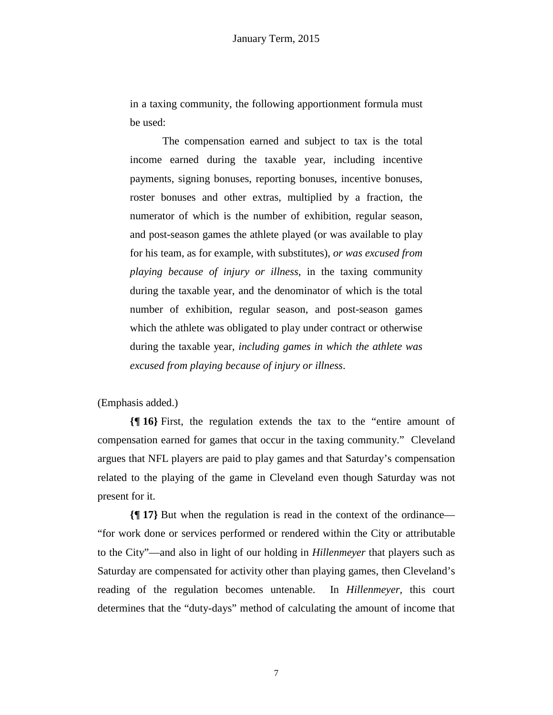in a taxing community, the following apportionment formula must be used:

The compensation earned and subject to tax is the total income earned during the taxable year, including incentive payments, signing bonuses, reporting bonuses, incentive bonuses, roster bonuses and other extras, multiplied by a fraction, the numerator of which is the number of exhibition, regular season, and post-season games the athlete played (or was available to play for his team, as for example, with substitutes), *or was excused from playing because of injury or illness*, in the taxing community during the taxable year, and the denominator of which is the total number of exhibition, regular season, and post-season games which the athlete was obligated to play under contract or otherwise during the taxable year, *including games in which the athlete was excused from playing because of injury or illness*.

(Emphasis added.)

**{¶ 16}** First, the regulation extends the tax to the "entire amount of compensation earned for games that occur in the taxing community." Cleveland argues that NFL players are paid to play games and that Saturday's compensation related to the playing of the game in Cleveland even though Saturday was not present for it.

**{¶ 17}** But when the regulation is read in the context of the ordinance— "for work done or services performed or rendered within the City or attributable to the City"—and also in light of our holding in *Hillenmeyer* that players such as Saturday are compensated for activity other than playing games, then Cleveland's reading of the regulation becomes untenable. In *Hillenmeyer*, this court determines that the "duty-days" method of calculating the amount of income that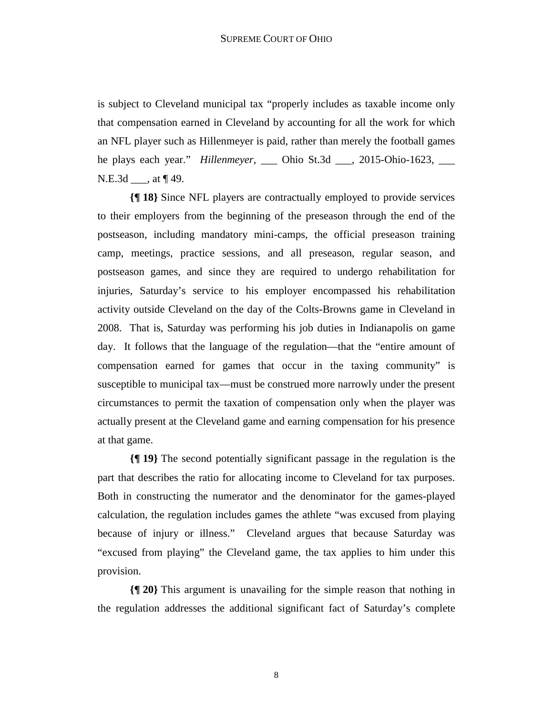is subject to Cleveland municipal tax "properly includes as taxable income only that compensation earned in Cleveland by accounting for all the work for which an NFL player such as Hillenmeyer is paid, rather than merely the football games he plays each year." *Hillenmeyer*, \_\_\_ Ohio St.3d \_\_\_, 2015-Ohio-1623, \_\_\_ N.E.3d \_\_\_, at ¶ 49.

**{¶ 18}** Since NFL players are contractually employed to provide services to their employers from the beginning of the preseason through the end of the postseason, including mandatory mini-camps, the official preseason training camp, meetings, practice sessions, and all preseason, regular season, and postseason games, and since they are required to undergo rehabilitation for injuries, Saturday's service to his employer encompassed his rehabilitation activity outside Cleveland on the day of the Colts-Browns game in Cleveland in 2008. That is, Saturday was performing his job duties in Indianapolis on game day. It follows that the language of the regulation—that the "entire amount of compensation earned for games that occur in the taxing community" is susceptible to municipal tax—must be construed more narrowly under the present circumstances to permit the taxation of compensation only when the player was actually present at the Cleveland game and earning compensation for his presence at that game.

**{¶ 19}** The second potentially significant passage in the regulation is the part that describes the ratio for allocating income to Cleveland for tax purposes. Both in constructing the numerator and the denominator for the games-played calculation, the regulation includes games the athlete "was excused from playing because of injury or illness." Cleveland argues that because Saturday was "excused from playing" the Cleveland game, the tax applies to him under this provision.

**{¶ 20}** This argument is unavailing for the simple reason that nothing in the regulation addresses the additional significant fact of Saturday's complete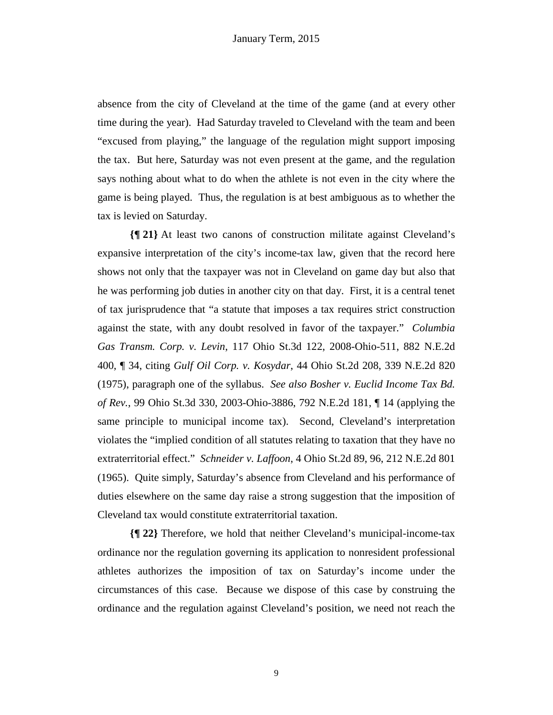absence from the city of Cleveland at the time of the game (and at every other time during the year). Had Saturday traveled to Cleveland with the team and been "excused from playing," the language of the regulation might support imposing the tax. But here, Saturday was not even present at the game, and the regulation says nothing about what to do when the athlete is not even in the city where the game is being played. Thus, the regulation is at best ambiguous as to whether the tax is levied on Saturday.

**{¶ 21}** At least two canons of construction militate against Cleveland's expansive interpretation of the city's income-tax law, given that the record here shows not only that the taxpayer was not in Cleveland on game day but also that he was performing job duties in another city on that day. First, it is a central tenet of tax jurisprudence that "a statute that imposes a tax requires strict construction against the state, with any doubt resolved in favor of the taxpayer." *Columbia Gas Transm. Corp. v. Levin*, 117 Ohio St.3d 122, 2008-Ohio-511, 882 N.E.2d 400, ¶ 34, citing *Gulf Oil Corp. v. Kosydar*, 44 Ohio St.2d 208, 339 N.E.2d 820 (1975), paragraph one of the syllabus. *See also Bosher v. Euclid Income Tax Bd. of Rev.*, 99 Ohio St.3d 330, 2003-Ohio-3886, 792 N.E.2d 181, ¶ 14 (applying the same principle to municipal income tax). Second, Cleveland's interpretation violates the "implied condition of all statutes relating to taxation that they have no extraterritorial effect." *Schneider v. Laffoon*, 4 Ohio St.2d 89, 96, 212 N.E.2d 801 (1965). Quite simply, Saturday's absence from Cleveland and his performance of duties elsewhere on the same day raise a strong suggestion that the imposition of Cleveland tax would constitute extraterritorial taxation.

**{¶ 22}** Therefore, we hold that neither Cleveland's municipal-income-tax ordinance nor the regulation governing its application to nonresident professional athletes authorizes the imposition of tax on Saturday's income under the circumstances of this case. Because we dispose of this case by construing the ordinance and the regulation against Cleveland's position, we need not reach the